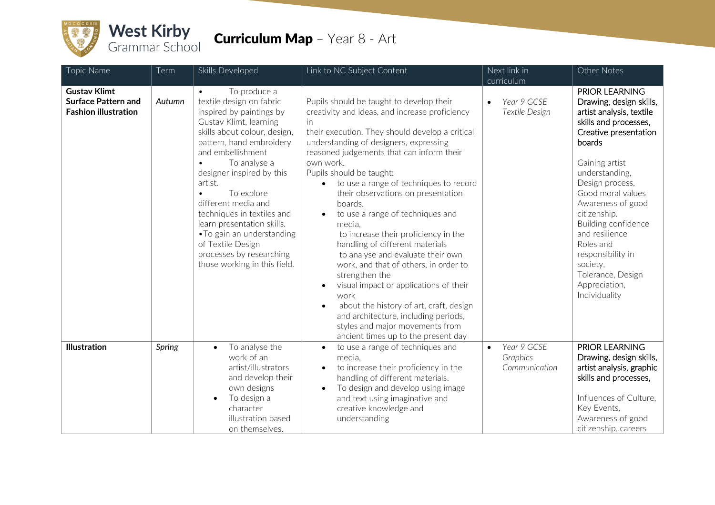

## **Curriculum Map** - Year 8 - Art

| Topic Name                                                                       | Term   | Skills Developed                                                                                                                                                                                                                                                                                                                                                                                                                                                                  | Link to NC Subject Content                                                                                                                                                                                                                                                                                                                                                                                                                                                                                                                                                                                                                                                                                                                                                                                                                       | Next link in                                          | Other Notes                                                                                                                                                                                                                                                                                                                                                                                             |
|----------------------------------------------------------------------------------|--------|-----------------------------------------------------------------------------------------------------------------------------------------------------------------------------------------------------------------------------------------------------------------------------------------------------------------------------------------------------------------------------------------------------------------------------------------------------------------------------------|--------------------------------------------------------------------------------------------------------------------------------------------------------------------------------------------------------------------------------------------------------------------------------------------------------------------------------------------------------------------------------------------------------------------------------------------------------------------------------------------------------------------------------------------------------------------------------------------------------------------------------------------------------------------------------------------------------------------------------------------------------------------------------------------------------------------------------------------------|-------------------------------------------------------|---------------------------------------------------------------------------------------------------------------------------------------------------------------------------------------------------------------------------------------------------------------------------------------------------------------------------------------------------------------------------------------------------------|
|                                                                                  |        |                                                                                                                                                                                                                                                                                                                                                                                                                                                                                   |                                                                                                                                                                                                                                                                                                                                                                                                                                                                                                                                                                                                                                                                                                                                                                                                                                                  | curriculum                                            |                                                                                                                                                                                                                                                                                                                                                                                                         |
| <b>Gustav Klimt</b><br><b>Surface Pattern and</b><br><b>Fashion illustration</b> | Autumn | To produce a<br>textile design on fabric<br>inspired by paintings by<br>Gustav Klimt, learning<br>skills about colour, design,<br>pattern, hand embroidery<br>and embellishment<br>To analyse a<br>$\bullet$<br>designer inspired by this<br>artist.<br>To explore<br>$\bullet$<br>different media and<br>techniques in textiles and<br>learn presentation skills.<br>• To gain an understanding<br>of Textile Design<br>processes by researching<br>those working in this field. | Pupils should be taught to develop their<br>creativity and ideas, and increase proficiency<br>in<br>their execution. They should develop a critical<br>understanding of designers, expressing<br>reasoned judgements that can inform their<br>own work.<br>Pupils should be taught:<br>to use a range of techniques to record<br>their observations on presentation<br>boards.<br>to use a range of techniques and<br>media.<br>to increase their proficiency in the<br>handling of different materials<br>to analyse and evaluate their own<br>work, and that of others, in order to<br>strengthen the<br>visual impact or applications of their<br>$\bullet$<br>work<br>about the history of art, craft, design<br>$\bullet$<br>and architecture, including periods,<br>styles and major movements from<br>ancient times up to the present day | Year 9 GCSE<br>$\bullet$<br>Textile Design            | <b>PRIOR LEARNING</b><br>Drawing, design skills,<br>artist analysis, textile<br>skills and processes,<br>Creative presentation<br>boards<br>Gaining artist<br>understanding,<br>Design process,<br>Good moral values<br>Awareness of good<br>citizenship.<br>Building confidence<br>and resilience<br>Roles and<br>responsibility in<br>society,<br>Tolerance, Design<br>Appreciation,<br>Individuality |
| <b>Illustration</b>                                                              | Spring | To analyse the<br>$\bullet$<br>work of an<br>artist/illustrators<br>and develop their<br>own designs<br>To design a<br>$\bullet$<br>character<br>illustration based<br>on themselves.                                                                                                                                                                                                                                                                                             | to use a range of techniques and<br>$\bullet$<br>media.<br>to increase their proficiency in the<br>$\bullet$<br>handling of different materials.<br>To design and develop using image<br>$\bullet$<br>and text using imaginative and<br>creative knowledge and<br>understanding                                                                                                                                                                                                                                                                                                                                                                                                                                                                                                                                                                  | Year 9 GCSE<br>$\bullet$<br>Graphics<br>Communication | PRIOR LEARNING<br>Drawing, design skills,<br>artist analysis, graphic<br>skills and processes,<br>Influences of Culture,<br>Key Events,<br>Awareness of good<br>citizenship, careers                                                                                                                                                                                                                    |